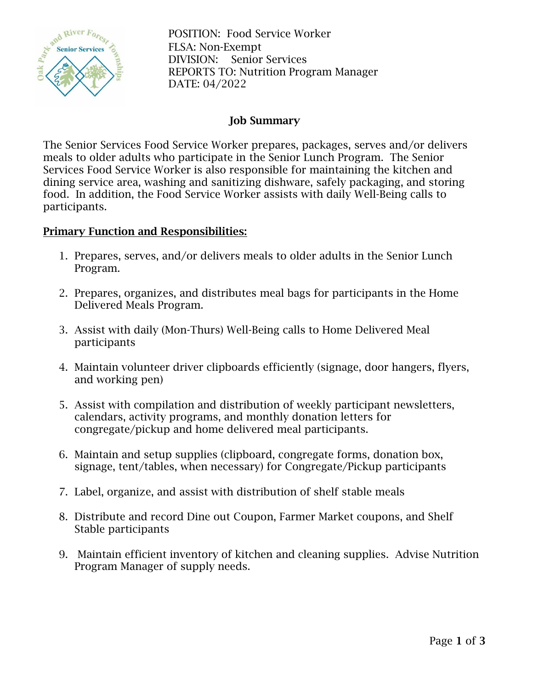

 $\frac{1}{2}$ <sup>2</sup><sup>2</sup>  $\frac{1}{2}$  POSITION: Food Service Worker FLSA: Non-Exempt DIVISION: Senior Services REPORTS TO: Nutrition Program Manager DATE: 04/2022

### Job Summary

The Senior Services Food Service Worker prepares, packages, serves and/or delivers meals to older adults who participate in the Senior Lunch Program. The Senior Services Food Service Worker is also responsible for maintaining the kitchen and dining service area, washing and sanitizing dishware, safely packaging, and storing food. In addition, the Food Service Worker assists with daily Well-Being calls to participants.

#### Primary Function and Responsibilities:

- 1. Prepares, serves, and/or delivers meals to older adults in the Senior Lunch Program.
- 2. Prepares, organizes, and distributes meal bags for participants in the Home Delivered Meals Program.
- 3. Assist with daily (Mon-Thurs) Well-Being calls to Home Delivered Meal participants
- 4. Maintain volunteer driver clipboards efficiently (signage, door hangers, flyers, and working pen)
- 5. Assist with compilation and distribution of weekly participant newsletters, calendars, activity programs, and monthly donation letters for congregate/pickup and home delivered meal participants.
- 6. Maintain and setup supplies (clipboard, congregate forms, donation box, signage, tent/tables, when necessary) for Congregate/Pickup participants
- 7. Label, organize, and assist with distribution of shelf stable meals
- 8. Distribute and record Dine out Coupon, Farmer Market coupons, and Shelf Stable participants
- 9. Maintain efficient inventory of kitchen and cleaning supplies. Advise Nutrition Program Manager of supply needs.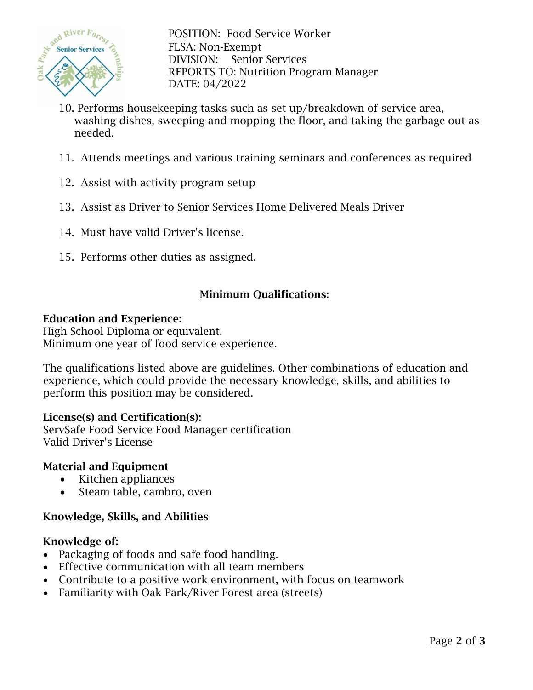

 $S_{\text{av}}^{\text{av}}$  River  $F_{\text{Or}_{\mathcal{C}_{\mathcal{S}_{\mathcal{F}}}}}$  POSITION: Food Service Worker FLSA: Non-Exempt DIVISION: Senior Services REPORTS TO: Nutrition Program Manager DATE: 04/2022

- 10. Performs housekeeping tasks such as set up/breakdown of service area, washing dishes, sweeping and mopping the floor, and taking the garbage out as needed.
- 11. Attends meetings and various training seminars and conferences as required
- 12. Assist with activity program setup
- 13. Assist as Driver to Senior Services Home Delivered Meals Driver
- 14. Must have valid Driver's license.
- 15. Performs other duties as assigned.

# Minimum Qualifications:

#### Education and Experience:

High School Diploma or equivalent. Minimum one year of food service experience.

The qualifications listed above are guidelines. Other combinations of education and experience, which could provide the necessary knowledge, skills, and abilities to perform this position may be considered.

# License(s) and Certification(s):

ServSafe Food Service Food Manager certification Valid Driver's License

# Material and Equipment

- Kitchen appliances
- Steam table, cambro, oven

# Knowledge, Skills, and Abilities

#### Knowledge of:

- Packaging of foods and safe food handling.
- Effective communication with all team members
- Contribute to a positive work environment, with focus on teamwork
- Familiarity with Oak Park/River Forest area (streets)